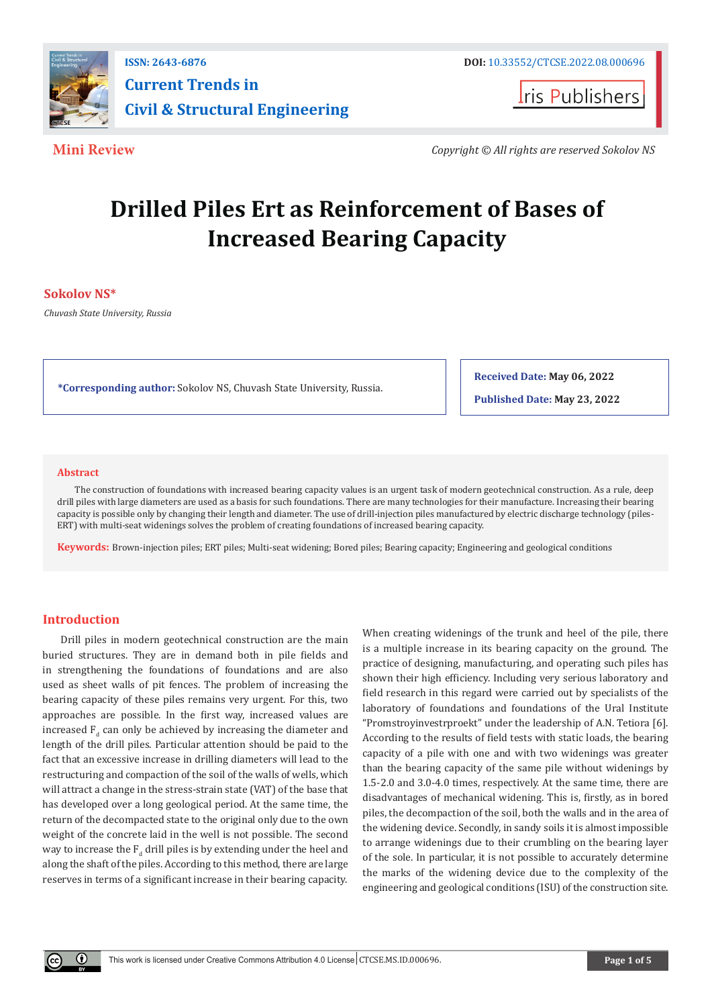

**I**ris Publishers

**Mini Review** *Copyright © All rights are reserved Sokolov NS*

# **Drilled Piles Ert as Reinforcement of Bases of Increased Bearing Capacity**

# **Sokolov NS\***

*Chuvash State University, Russia*

**\*Corresponding author:** Sokolov NS, Chuvash State University, Russia.

**Received Date: May 06, 2022**

**Published Date: May 23, 2022**

#### **Abstract**

The construction of foundations with increased bearing capacity values is an urgent task of modern geotechnical construction. As a rule, deep drill piles with large diameters are used as a basis for such foundations. There are many technologies for their manufacture. Increasing their bearing capacity is possible only by changing their length and diameter. The use of drill-injection piles manufactured by electric discharge technology (piles-ERT) with multi-seat widenings solves the problem of creating foundations of increased bearing capacity.

**Keywords:** Brown-injection piles; ERT piles; Multi-seat widening; Bored piles; Bearing capacity; Engineering and geological conditions

# **Introduction**

Drill piles in modern geotechnical construction are the main buried structures. They are in demand both in pile fields and in strengthening the foundations of foundations and are also used as sheet walls of pit fences. The problem of increasing the bearing capacity of these piles remains very urgent. For this, two approaches are possible. In the first way, increased values are increased  $F_d$  can only be achieved by increasing the diameter and length of the drill piles. Particular attention should be paid to the fact that an excessive increase in drilling diameters will lead to the restructuring and compaction of the soil of the walls of wells, which will attract a change in the stress-strain state (VAT) of the base that has developed over a long geological period. At the same time, the return of the decompacted state to the original only due to the own weight of the concrete laid in the well is not possible. The second way to increase the  $\mathbf{F}_{\mathbf{d}}$  drill piles is by extending under the heel and along the shaft of the piles. According to this method, there are large reserves in terms of a significant increase in their bearing capacity.

When creating widenings of the trunk and heel of the pile, there is a multiple increase in its bearing capacity on the ground. The practice of designing, manufacturing, and operating such piles has shown their high efficiency. Including very serious laboratory and field research in this regard were carried out by specialists of the laboratory of foundations and foundations of the Ural Institute "Promstroyinvestrproekt" under the leadership of A.N. Tetiora [6]. According to the results of field tests with static loads, the bearing capacity of a pile with one and with two widenings was greater than the bearing capacity of the same pile without widenings by 1.5-2.0 and 3.0-4.0 times, respectively. At the same time, there are disadvantages of mechanical widening. This is, firstly, as in bored piles, the decompaction of the soil, both the walls and in the area of the widening device. Secondly, in sandy soils it is almost impossible to arrange widenings due to their crumbling on the bearing layer of the sole. In particular, it is not possible to accurately determine the marks of the widening device due to the complexity of the engineering and geological conditions (ISU) of the construction site.

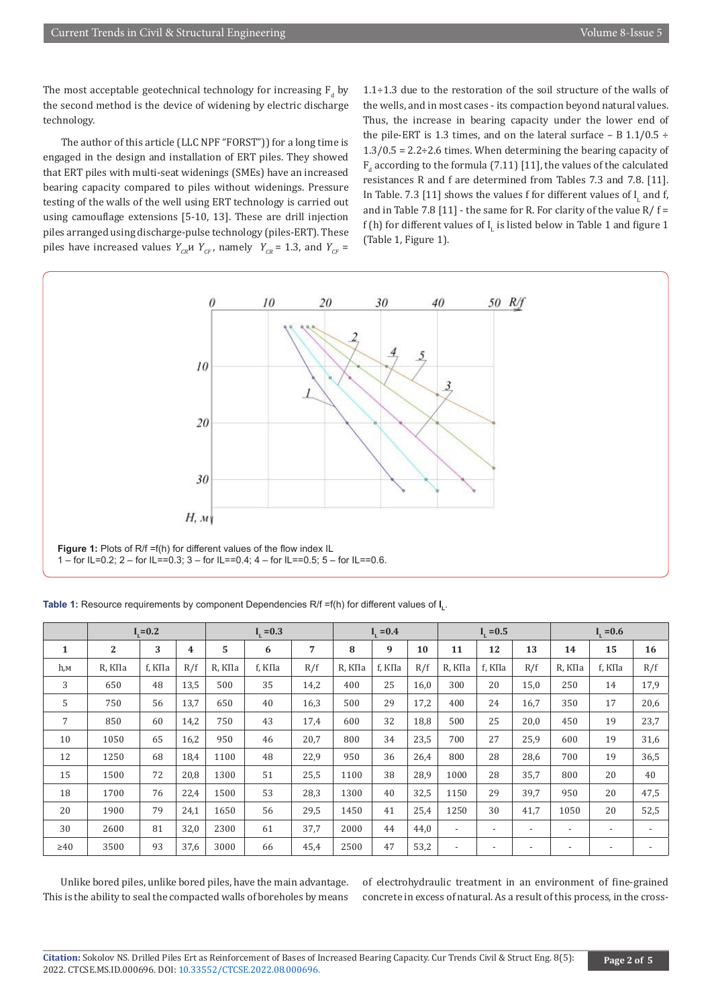The most acceptable geotechnical technology for increasing  $F_d$  by the second method is the device of widening by electric discharge technology.

The author of this article (LLC NPF "FORST")) for a long time is engaged in the design and installation of ERT piles. They showed that ERT piles with multi-seat widenings (SMEs) have an increased bearing capacity compared to piles without widenings. Pressure testing of the walls of the well using ERT technology is carried out using camouflage extensions [5-10, 13]. These are drill injection piles arranged using discharge-pulse technology (piles-ERT). These piles have increased values  $Y_{CR}$   $Y_{CF}$ , namely  $Y_{CR}$  = 1.3, and  $Y_{CF}$  =

1.1÷1.3 due to the restoration of the soil structure of the walls of the wells, and in most cases - its compaction beyond natural values. Thus, the increase in bearing capacity under the lower end of the pile-ERT is 1.3 times, and on the lateral surface – B  $1.1/0.5 \div$  $1.3/0.5 = 2.2 \div 2.6$  times. When determining the bearing capacity of  $F_d$  according to the formula (7.11) [11], the values of the calculated resistances R and f are determined from Tables 7.3 and 7.8. [11]. In Table. 7.3 [11] shows the values f for different values of  $I<sub>L</sub>$  and f, and in Table 7.8 [11] - the same for R. For clarity of the value R/  $f =$ f (h) for different values of  $I_{L}$  is listed below in Table 1 and figure 1 (Table 1, Figure 1).



**Table 1:** Resource requirements by component Dependencies R/f =f(h) for different values of **I L**.

|              | $I_{1} = 0.2$  |        |      | $I_{1} = 0.3$ |        |      | $I_1 = 0.4$ |        |      | $I_{1} = 0.5$            |                          |                          | $I_{1} = 0.6$            |                          |                          |
|--------------|----------------|--------|------|---------------|--------|------|-------------|--------|------|--------------------------|--------------------------|--------------------------|--------------------------|--------------------------|--------------------------|
| $\mathbf{1}$ | $\overline{2}$ | 3      | 4    | 5             | 6      | 7    | 8           | 9      | 10   | 11                       | 12                       | 13                       | 14                       | 15                       | 16                       |
| $h_{,M}$     | R. КПа         | f, КПа | R/f  | R, КПа        | f, КПа | R/f  | R, КПа      | f, КПа | R/f  | R. КПа                   | f, КПа                   | R/f                      | R, КПа                   | f, КПа                   | R/f                      |
| 3            | 650            | 48     | 13,5 | 500           | 35     | 14,2 | 400         | 25     | 16,0 | 300                      | 20                       | 15,0                     | 250                      | 14                       | 17,9                     |
| 5            | 750            | 56     | 13,7 | 650           | 40     | 16,3 | 500         | 29     | 17,2 | 400                      | 24                       | 16,7                     | 350                      | 17                       | 20,6                     |
| 7            | 850            | 60     | 14,2 | 750           | 43     | 17,4 | 600         | 32     | 18,8 | 500                      | 25                       | 20,0                     | 450                      | 19                       | 23,7                     |
| 10           | 1050           | 65     | 16,2 | 950           | 46     | 20,7 | 800         | 34     | 23,5 | 700                      | 27                       | 25,9                     | 600                      | 19                       | 31,6                     |
| 12           | 1250           | 68     | 18,4 | 1100          | 48     | 22,9 | 950         | 36     | 26,4 | 800                      | 28                       | 28,6                     | 700                      | 19                       | 36,5                     |
| 15           | 1500           | 72     | 20,8 | 1300          | 51     | 25,5 | 1100        | 38     | 28,9 | 1000                     | 28                       | 35,7                     | 800                      | 20                       | 40                       |
| 18           | 1700           | 76     | 22,4 | 1500          | 53     | 28,3 | 1300        | 40     | 32,5 | 1150                     | 29                       | 39,7                     | 950                      | 20                       | 47,5                     |
| 20           | 1900           | 79     | 24,1 | 1650          | 56     | 29,5 | 1450        | 41     | 25,4 | 1250                     | 30                       | 41,7                     | 1050                     | 20                       | 52,5                     |
| 30           | 2600           | 81     | 32,0 | 2300          | 61     | 37,7 | 2000        | 44     | 44,0 | $\overline{\phantom{a}}$ | $\overline{\phantom{a}}$ | $\overline{\phantom{a}}$ | $\overline{\phantom{a}}$ | $\overline{\phantom{a}}$ | $\overline{\phantom{a}}$ |
| $\geq 40$    | 3500           | 93     | 37,6 | 3000          | 66     | 45,4 | 2500        | 47     | 53,2 | $\overline{\phantom{0}}$ | $\overline{\phantom{a}}$ | $\overline{\phantom{a}}$ |                          |                          |                          |

Unlike bored piles, unlike bored piles, have the main advantage. This is the ability to seal the compacted walls of boreholes by means

of electrohydraulic treatment in an environment of fine-grained concrete in excess of natural. As a result of this process, in the cross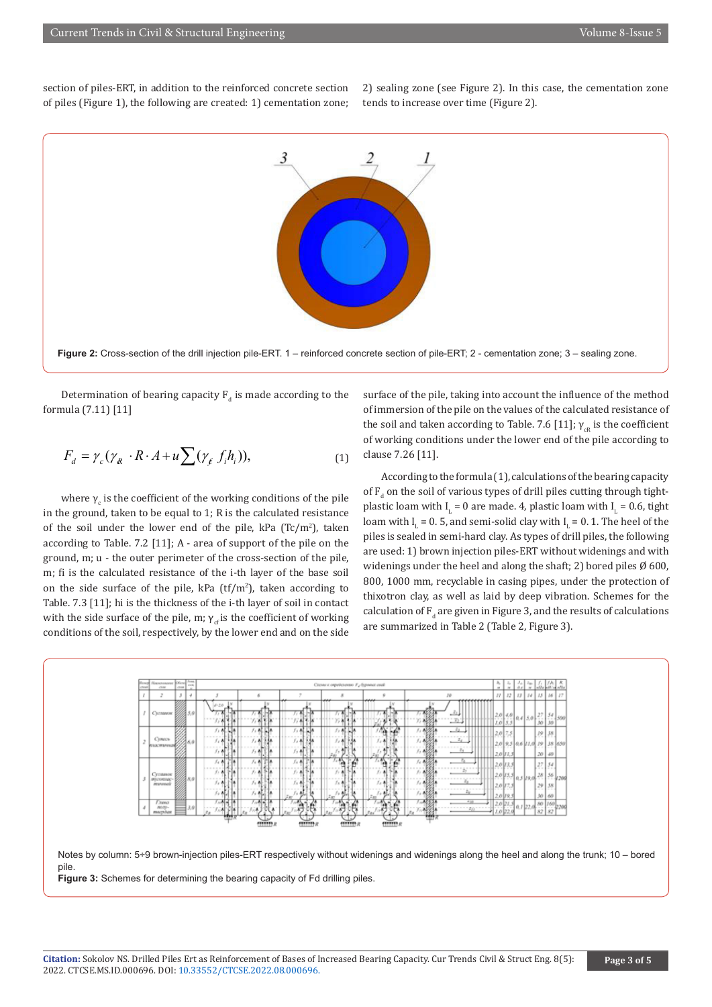section of piles-ERT, in addition to the reinforced concrete section of piles (Figure 1), the following are created: 1) cementation zone; 2) sealing zone (see Figure 2). In this case, the cementation zone tends to increase over time (Figure 2).



**Figure 2:** Cross-section of the drill injection pile-ERT. 1 – reinforced concrete section of pile-ERT; 2 - cementation zone; 3 – sealing zone.

Determination of bearing capacity  $F_d$  is made according to the formula (7.11) [11]

$$
F_d = \gamma_c (\gamma_R \cdot R \cdot A + u \sum (\gamma_f f_i h_i)), \tag{1}
$$

where  $\gamma_c$  is the coefficient of the working conditions of the pile in the ground, taken to be equal to 1; R is the calculated resistance of the soil under the lower end of the pile, kPa  $(Tc/m^2)$ , taken according to Table. 7.2 [11]; A - area of support of the pile on the ground, m; u - the outer perimeter of the cross-section of the pile, m; fi is the calculated resistance of the i-th layer of the base soil on the side surface of the pile, k $\text{Pa (tf/m²)}$ , taken according to Table. 7.3 [11]; hi is the thickness of the i-th layer of soil in contact with the side surface of the pile, m;  $\gamma_{cf}$  is the coefficient of working conditions of the soil, respectively, by the lower end and on the side

surface of the pile, taking into account the influence of the method of immersion of the pile on the values of the calculated resistance of the soil and taken according to Table. 7.6 [11];  $\gamma_{CR}$  is the coefficient of working conditions under the lower end of the pile according to clause 7.26 [11].

According to the formula (1), calculations of the bearing capacity of  $F_d$  on the soil of various types of drill piles cutting through tightplastic loam with  $I_L = 0$  are made. 4, plastic loam with  $I_L = 0.6$ , tight loam with  $I_L = 0.5$ , and semi-solid clay with  $I_L = 0.1$ . The heel of the piles is sealed in semi-hard clay. As types of drill piles, the following are used: 1) brown injection piles-ERT without widenings and with widenings under the heel and along the shaft; 2) bored piles  $\emptyset$  600, 800, 1000 mm, recyclable in casing pipes, under the protection of thixotron clay, as well as laid by deep vibration. Schemes for the calculation of  $F_d$  are given in Figure 3, and the results of calculations are summarized in Table 2 (Table 2, Figure 3).



Notes by column: 5÷9 brown-injection piles-ERT respectively without widenings and widenings along the heel and along the trunk; 10 – bored pile.

**Figure 3:** Schemes for determining the bearing capacity of Fd drilling piles.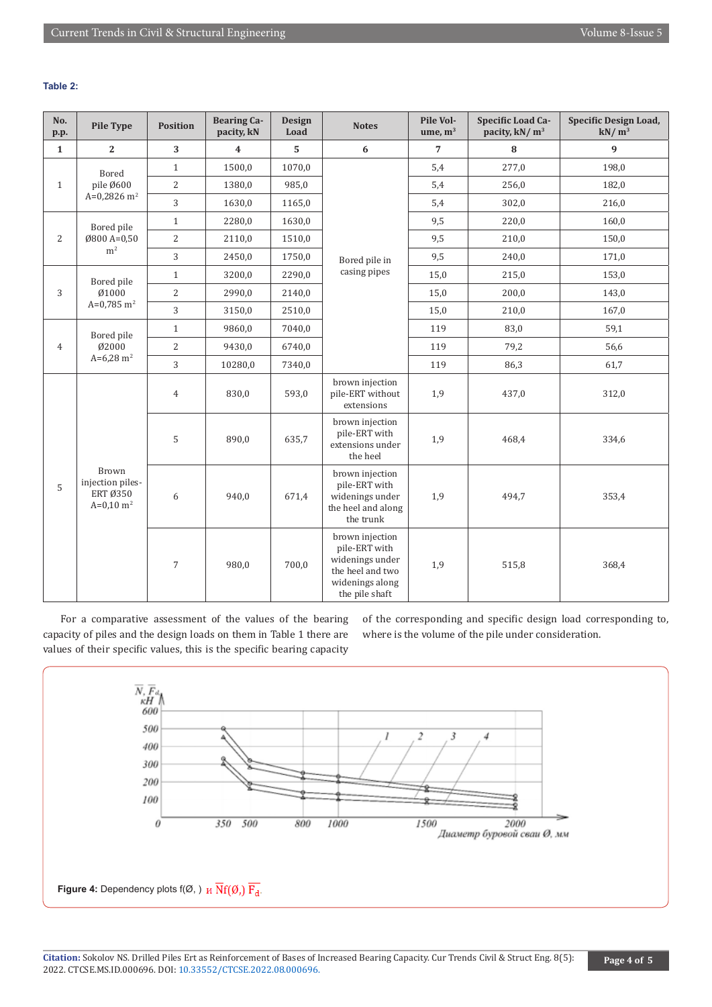# **Table 2:**

| No.<br>p.p.    | <b>Pile Type</b>                                                     | <b>Bearing Ca-</b><br><b>Design</b><br><b>Position</b><br><b>Notes</b><br>pacity, kN<br>Load |         | Pile Vol-<br>ume, $m3$ | Specific Load Ca-<br>pacity, kN/m <sup>3</sup>                                                               | Specific Design Load,<br>$kN/m^3$ |       |       |
|----------------|----------------------------------------------------------------------|----------------------------------------------------------------------------------------------|---------|------------------------|--------------------------------------------------------------------------------------------------------------|-----------------------------------|-------|-------|
| $\mathbf{1}$   | $\mathbf{2}$                                                         | 3                                                                                            | 4       | 5                      | $\bf 6$                                                                                                      | $\overline{7}$                    | 8     | 9     |
| $\mathbf{1}$   | Bored<br>pile Ø600<br>A=0,2826 $m2$                                  | $\mathbf{1}$                                                                                 | 1500,0  | 1070,0                 |                                                                                                              | 5,4                               | 277,0 | 198,0 |
|                |                                                                      | $\overline{2}$                                                                               | 1380,0  | 985,0                  |                                                                                                              | 5,4                               | 256,0 | 182,0 |
|                |                                                                      | 3                                                                                            | 1630,0  | 1165,0                 |                                                                                                              | 5,4                               | 302,0 | 216,0 |
| $\overline{2}$ | Bored pile<br>Ø800 A=0,50<br>m <sup>2</sup>                          | $\mathbf{1}$                                                                                 | 2280,0  | 1630,0                 |                                                                                                              | 9,5                               | 220,0 | 160,0 |
|                |                                                                      | $\overline{2}$                                                                               | 2110,0  | 1510,0                 |                                                                                                              | 9,5                               | 210,0 | 150,0 |
|                |                                                                      | 3                                                                                            | 2450,0  | 1750,0                 | Bored pile in                                                                                                | 9,5                               | 240,0 | 171,0 |
|                | Bored pile<br>Ø1000<br>$A=0,785$ m <sup>2</sup>                      | $\mathbf{1}$                                                                                 | 3200,0  | 2290,0                 | casing pipes                                                                                                 | 15,0                              | 215,0 | 153,0 |
| 3              |                                                                      | 2                                                                                            | 2990,0  | 2140,0                 |                                                                                                              | 15,0                              | 200,0 | 143,0 |
|                |                                                                      | 3                                                                                            | 3150,0  | 2510,0                 |                                                                                                              | 15,0                              | 210,0 | 167,0 |
|                | Bored pile<br>Ø2000<br>$A=6,28 \text{ m}^2$                          | $\mathbf{1}$                                                                                 | 9860,0  | 7040,0                 |                                                                                                              | 119                               | 83,0  | 59,1  |
| $\overline{4}$ |                                                                      | 2                                                                                            | 9430,0  | 6740,0                 |                                                                                                              | 119                               | 79,2  | 56,6  |
|                |                                                                      | 3                                                                                            | 10280,0 | 7340,0                 |                                                                                                              | 119                               | 86,3  | 61,7  |
| 5              | <b>Brown</b><br>injection piles-<br>ERT Ø350<br>$A=0,10 \text{ m}^2$ | $\overline{4}$                                                                               | 830,0   | 593,0                  | brown injection<br>pile-ERT without<br>extensions                                                            | 1,9                               | 437,0 | 312,0 |
|                |                                                                      | 5                                                                                            | 890,0   | 635,7                  | brown injection<br>pile-ERT with<br>extensions under<br>the heel                                             | 1,9                               | 468,4 | 334,6 |
|                |                                                                      | 6                                                                                            | 940,0   | 671,4                  | brown injection<br>pile-ERT with<br>widenings under<br>the heel and along<br>the trunk                       | 1,9                               | 494,7 | 353,4 |
|                |                                                                      | $\overline{7}$                                                                               | 980,0   | 700,0                  | brown injection<br>pile-ERT with<br>widenings under<br>the heel and two<br>widenings along<br>the pile shaft | 1,9                               | 515,8 | 368,4 |

For a comparative assessment of the values of the bearing capacity of piles and the design loads on them in Table 1 there are values of their specific values, this is the specific bearing capacity

of the corresponding and specific design load corresponding to, where is the volume of the pile under consideration.